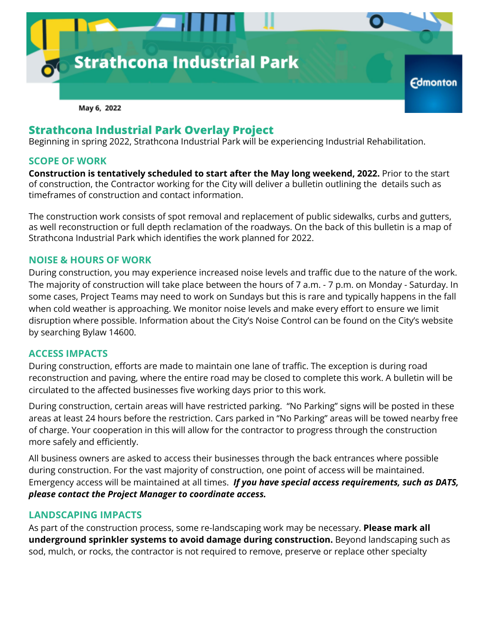

# **Strathcona Industrial Park Overlay Project**

Beginning in spring 2022, Strathcona Industrial Park will be experiencing Industrial Rehabilitation.

#### **SCOPE OF WORK**

**Construction is tentatively scheduled to start after the May long weekend, 2022.** Prior to the start of construction, the Contractor working for the City will deliver a bulletin outlining the details such as timeframes of construction and contact information.

The construction work consists of spot removal and replacement of public sidewalks, curbs and gutters, as well reconstruction or full depth reclamation of the roadways. On the back of this bulletin is a map of Strathcona Industrial Park which identifies the work planned for 2022.

#### **NOISE & HOURS OF WORK**

During construction, you may experience increased noise levels and traffic due to the nature of the work. The majority of construction will take place between the hours of 7 a.m. - 7 p.m. on Monday - Saturday. In some cases, Project Teams may need to work on Sundays but this is rare and typically happens in the fall when cold weather is approaching. We monitor noise levels and make every effort to ensure we limit disruption where possible. Information about the City's Noise Control can be found on the City's website by searching Bylaw 14600.

#### **ACCESS IMPACTS**

During construction, efforts are made to maintain one lane of traffic. The exception is during road reconstruction and paving, where the entire road may be closed to complete this work. A bulletin will be circulated to the affected businesses five working days prior to this work.

During construction, certain areas will have restricted parking. "No Parking" signs will be posted in these areas at least 24 hours before the restriction. Cars parked in "No Parking" areas will be towed nearby free of charge. Your cooperation in this will allow for the contractor to progress through the construction more safely and efficiently.

All business owners are asked to access their businesses through the back entrances where possible during construction. For the vast majority of construction, one point of access will be maintained. Emergency access will be maintained at all times. *If you have special access requirements, such as DATS, please contact the Project Manager to coordinate access.*

#### **LANDSCAPING IMPACTS**

As part of the construction process, some re-landscaping work may be necessary. **Please mark all underground sprinkler systems to avoid damage during construction.** Beyond landscaping such as sod, mulch, or rocks, the contractor is not required to remove, preserve or replace other specialty